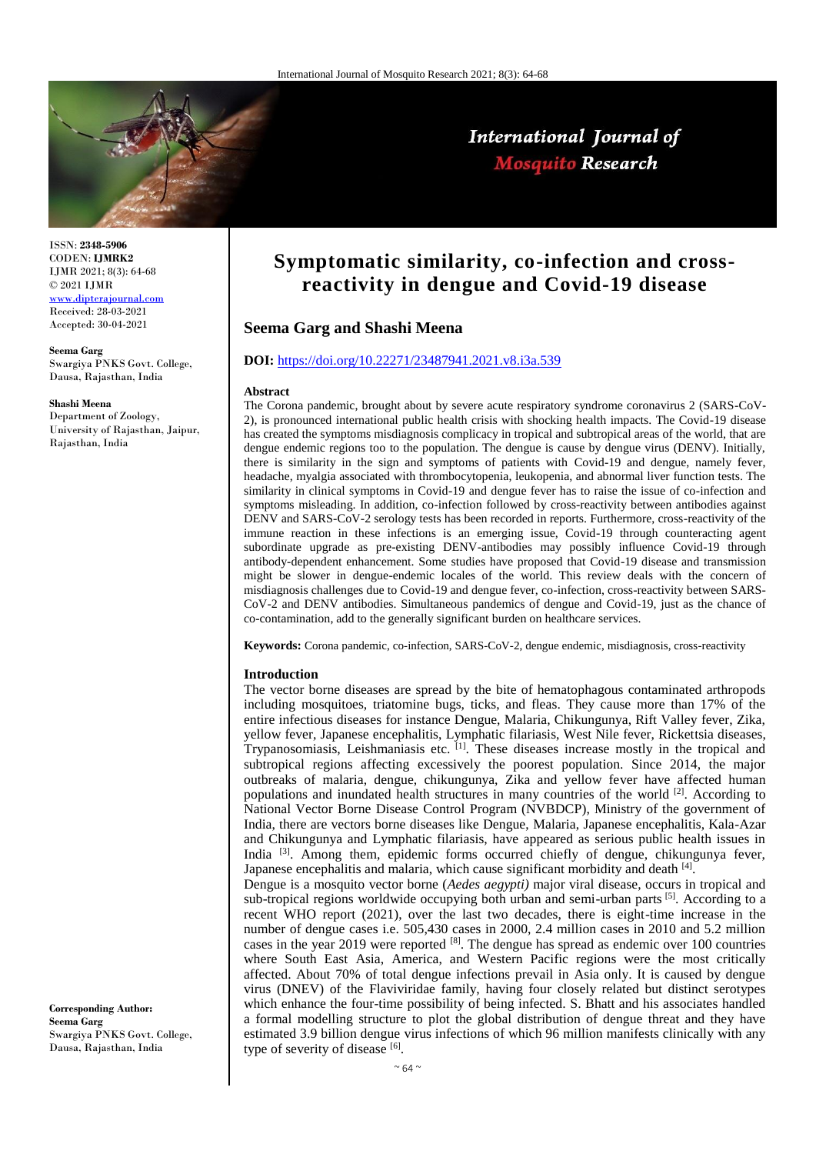

ISSN: **2348-5906** CODEN: **IJMRK2** IJMR 2021; 8(3): 64-68 © 2021 IJMR

**Seema Garg** 

**Shashi Meena**

Rajasthan, India

[www.dipterajournal.com](file://///server/d/Mosquito/Issue/8%20Volume/www.dipterajournal.com) Received: 28-03-2021 Accepted: 30-04-2021

Department of Zoology, University of Rajasthan, Jaipur,

Swargiya PNKS Govt. College, Dausa, Rajasthan, India

# International Journal of **Mosquito Research**

# **Symptomatic similarity, co-infection and crossreactivity in dengue and Covid-19 disease**

# **Seema Garg and Shashi Meena**

### **DOI:** <https://doi.org/10.22271/23487941.2021.v8.i3a.539>

#### **Abstract**

The Corona pandemic, brought about by severe acute respiratory syndrome coronavirus 2 (SARS-CoV-2), is pronounced international public health crisis with shocking health impacts. The Covid-19 disease has created the symptoms misdiagnosis complicacy in tropical and subtropical areas of the world, that are dengue endemic regions too to the population. The dengue is cause by dengue virus (DENV). Initially, there is similarity in the sign and symptoms of patients with Covid-19 and dengue, namely fever, headache, myalgia associated with thrombocytopenia, leukopenia, and abnormal liver function tests. The similarity in clinical symptoms in Covid-19 and dengue fever has to raise the issue of co-infection and symptoms misleading. In addition, co-infection followed by cross-reactivity between antibodies against DENV and SARS-CoV-2 serology tests has been recorded in reports. Furthermore, cross-reactivity of the immune reaction in these infections is an emerging issue, Covid-19 through counteracting agent subordinate upgrade as pre-existing DENV-antibodies may possibly influence Covid-19 through antibody-dependent enhancement. Some studies have proposed that Covid-19 disease and transmission might be slower in dengue-endemic locales of the world. This review deals with the concern of misdiagnosis challenges due to Covid-19 and dengue fever, co-infection, cross-reactivity between SARS-CoV-2 and DENV antibodies. Simultaneous pandemics of dengue and Covid-19, just as the chance of co-contamination, add to the generally significant burden on healthcare services.

**Keywords:** Corona pandemic, co-infection, SARS-CoV-2, dengue endemic, misdiagnosis, cross-reactivity

#### **Introduction**

The vector borne diseases are spread by the bite of hematophagous contaminated arthropods including mosquitoes, triatomine bugs, ticks, and fleas. They cause more than 17% of the entire infectious diseases for instance Dengue, Malaria, Chikungunya, Rift Valley fever, Zika, yellow fever, Japanese encephalitis, Lymphatic filariasis, West Nile fever, Rickettsia diseases, Trypanosomiasis, Leishmaniasis etc.  $[1]$ . These diseases increase mostly in the tropical and subtropical regions affecting excessively the poorest population. Since 2014, the major outbreaks of malaria, dengue, chikungunya, Zika and yellow fever have affected human populations and inundated health structures in many countries of the world [2]. According to National Vector Borne Disease Control Program (NVBDCP), Ministry of the government of India, there are vectors borne diseases like Dengue, Malaria, Japanese encephalitis, Kala-Azar and Chikungunya and Lymphatic filariasis, have appeared as serious public health issues in India <sup>[3]</sup>. Among them, epidemic forms occurred chiefly of dengue, chikungunya fever, Japanese encephalitis and malaria, which cause significant morbidity and death [4].

Dengue is a mosquito vector borne (*Aedes aegypti)* major viral disease, occurs in tropical and sub-tropical regions worldwide occupying both urban and semi-urban parts  $[5]$ . According to a recent WHO report (2021), over the last two decades, there is eight-time increase in the number of dengue cases i.e. 505,430 cases in 2000, 2.4 million cases in 2010 and 5.2 million cases in the year 2019 were reported  $[8]$ . The dengue has spread as endemic over 100 countries where South East Asia, America, and Western Pacific regions were the most critically affected. About 70% of total dengue infections prevail in Asia only. It is caused by dengue virus (DNEV) of the Flaviviridae family, having four closely related but distinct serotypes which enhance the four-time possibility of being infected. S. Bhatt and his associates handled a formal modelling structure to plot the global distribution of dengue threat and they have estimated 3.9 billion dengue virus infections of which 96 million manifests clinically with any type of severity of disease [6].

**Corresponding Author: Seema Garg**  Swargiya PNKS Govt. College, Dausa, Rajasthan, India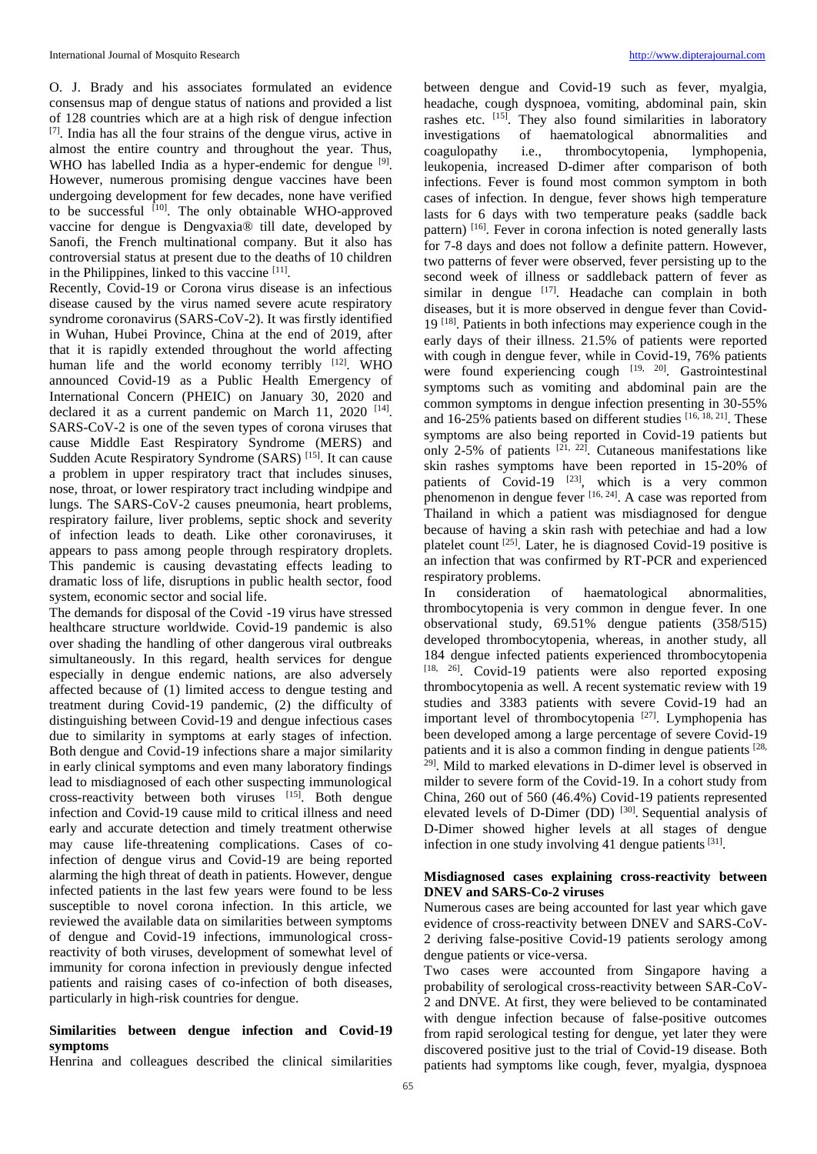O. J. Brady and his associates formulated an evidence consensus map of dengue status of nations and provided a list of 128 countries which are at a high risk of dengue infection [7]. India has all the four strains of the dengue virus, active in almost the entire country and throughout the year. Thus, WHO has labelled India as a hyper-endemic for dengue <sup>[9]</sup>. However, numerous promising dengue vaccines have been undergoing development for few decades, none have verified to be successful  $[10]$ . The only obtainable WHO-approved vaccine for dengue is Dengvaxia® till date, developed by Sanofi, the French multinational company. But it also has controversial status at present due to the deaths of 10 children in the Philippines, linked to this vaccine [11].

Recently, Covid-19 or Corona virus disease is an infectious disease caused by the virus named severe acute respiratory syndrome coronavirus (SARS-CoV-2). It was firstly identified in Wuhan, Hubei Province, China at the end of 2019, after that it is rapidly extended throughout the world affecting human life and the world economy terribly  $[12]$ . WHO announced Covid-19 as a Public Health Emergency of International Concern (PHEIC) on January 30, 2020 and declared it as a current pandemic on March 11, 2020 <sup>[14]</sup>. SARS-CoV-2 is one of the seven types of corona viruses that cause Middle East Respiratory Syndrome (MERS) and Sudden Acute Respiratory Syndrome (SARS)<sup>[15]</sup>. It can cause a problem in upper respiratory tract that includes sinuses, nose, throat, or lower respiratory tract including windpipe and lungs. The SARS-CoV-2 causes pneumonia, heart problems, respiratory failure, liver problems, septic shock and severity of infection leads to death. Like other coronaviruses, it appears to pass among people through respiratory droplets. This pandemic is causing devastating effects leading to dramatic loss of life, disruptions in public health sector, food system, economic sector and social life.

The demands for disposal of the Covid -19 virus have stressed healthcare structure worldwide. Covid-19 pandemic is also over shading the handling of other dangerous viral outbreaks simultaneously. In this regard, health services for dengue especially in dengue endemic nations, are also adversely affected because of (1) limited access to dengue testing and treatment during Covid-19 pandemic, (2) the difficulty of distinguishing between Covid-19 and dengue infectious cases due to similarity in symptoms at early stages of infection. Both dengue and Covid-19 infections share a major similarity in early clinical symptoms and even many laboratory findings lead to misdiagnosed of each other suspecting immunological cross-reactivity between both viruses [15]. Both dengue infection and Covid-19 cause mild to critical illness and need early and accurate detection and timely treatment otherwise may cause life-threatening complications. Cases of coinfection of dengue virus and Covid-19 are being reported alarming the high threat of death in patients. However, dengue infected patients in the last few years were found to be less susceptible to novel corona infection. In this article, we reviewed the available data on similarities between symptoms of dengue and Covid-19 infections, immunological crossreactivity of both viruses, development of somewhat level of immunity for corona infection in previously dengue infected patients and raising cases of co-infection of both diseases, particularly in high-risk countries for dengue.

### **Similarities between dengue infection and Covid-19 symptoms**

Henrina and colleagues described the clinical similarities

between dengue and Covid-19 such as fever, myalgia, headache, cough dyspnoea, vomiting, abdominal pain, skin rashes etc. [15]. They also found similarities in laboratory investigations of haematological abnormalities and coagulopathy i.e., thrombocytopenia, lymphopenia, leukopenia, increased D-dimer after comparison of both infections. Fever is found most common symptom in both cases of infection. In dengue, fever shows high temperature lasts for 6 days with two temperature peaks (saddle back pattern) [16]. Fever in corona infection is noted generally lasts for 7-8 days and does not follow a definite pattern. However, two patterns of fever were observed, fever persisting up to the second week of illness or saddleback pattern of fever as similar in dengue  $[17]$ . Headache can complain in both diseases, but it is more observed in dengue fever than Covid-19 [18]. Patients in both infections may experience cough in the early days of their illness. 21.5% of patients were reported with cough in dengue fever, while in Covid-19, 76% patients were found experiencing cough [19, 20]. Gastrointestinal symptoms such as vomiting and abdominal pain are the common symptoms in dengue infection presenting in 30-55% and 16-25% patients based on different studies  $[16, 18, 21]$ . These symptoms are also being reported in Covid-19 patients but only 2-5% of patients  $[21, 22]$ . Cutaneous manifestations like skin rashes symptoms have been reported in 15-20% of patients of Covid-19  $[23]$ , which is a very common phenomenon in dengue fever  $[16, 24]$ . A case was reported from Thailand in which a patient was misdiagnosed for dengue because of having a skin rash with petechiae and had a low platelet count<sup>[25]</sup>. Later, he is diagnosed Covid-19 positive is an infection that was confirmed by RT-PCR and experienced respiratory problems.

In consideration of haematological abnormalities, thrombocytopenia is very common in dengue fever. In one observational study, 69.51% dengue patients (358/515) developed thrombocytopenia, whereas, in another study, all 184 dengue infected patients experienced thrombocytopenia [18, 26]. Covid-19 patients were also reported exposing thrombocytopenia as well. A recent systematic review with 19 studies and 3383 patients with severe Covid-19 had an important level of thrombocytopenia  $[27]$ . Lymphopenia has been developed among a large percentage of severe Covid-19 patients and it is also a common finding in dengue patients [28, 29]. Mild to marked elevations in D-dimer level is observed in milder to severe form of the Covid-19. In a cohort study from China, 260 out of 560 (46.4%) Covid-19 patients represented elevated levels of D-Dimer (DD)<sup>[30]</sup>. Sequential analysis of D-Dimer showed higher levels at all stages of dengue infection in one study involving 41 dengue patients  $[31]$ .

## **Misdiagnosed cases explaining cross-reactivity between DNEV and SARS-Co-2 viruses**

Numerous cases are being accounted for last year which gave evidence of cross-reactivity between DNEV and SARS-CoV-2 deriving false-positive Covid-19 patients serology among dengue patients or vice-versa.

Two cases were accounted from Singapore having a probability of serological cross-reactivity between SAR-CoV-2 and DNVE. At first, they were believed to be contaminated with dengue infection because of false-positive outcomes from rapid serological testing for dengue, yet later they were discovered positive just to the trial of Covid-19 disease. Both patients had symptoms like cough, fever, myalgia, dyspnoea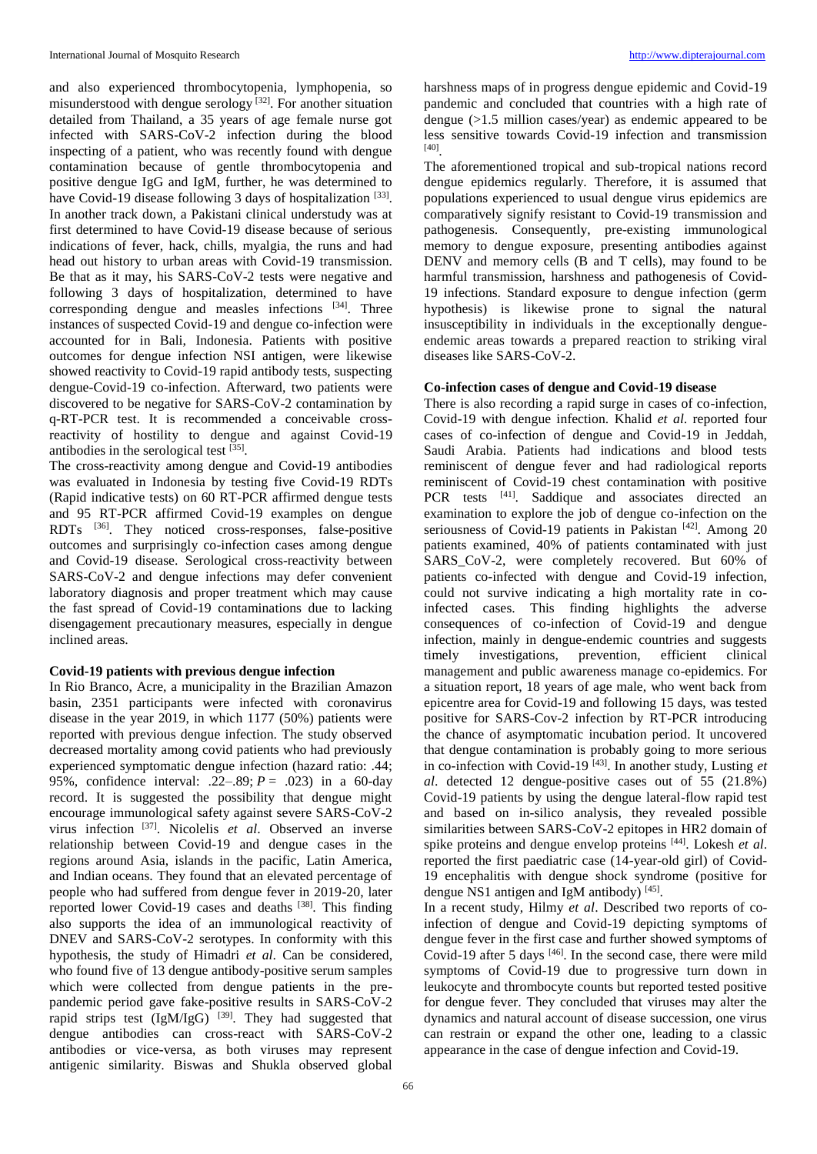and also experienced thrombocytopenia, lymphopenia, so misunderstood with dengue serology  $[32]$ . For another situation detailed from Thailand, a 35 years of age female nurse got infected with SARS-CoV-2 infection during the blood inspecting of a patient, who was recently found with dengue contamination because of gentle thrombocytopenia and positive dengue IgG and IgM, further, he was determined to have Covid-19 disease following 3 days of hospitalization [33]. In another track down, a Pakistani clinical understudy was at first determined to have Covid-19 disease because of serious indications of fever, hack, chills, myalgia, the runs and had head out history to urban areas with Covid-19 transmission. Be that as it may, his SARS-CoV-2 tests were negative and following 3 days of hospitalization, determined to have corresponding dengue and measles infections [34]. Three instances of suspected Covid-19 and dengue co-infection were accounted for in Bali, Indonesia. Patients with positive outcomes for dengue infection NSI antigen, were likewise showed reactivity to Covid-19 rapid antibody tests, suspecting dengue-Covid-19 co-infection. Afterward, two patients were discovered to be negative for SARS-CoV-2 contamination by q-RT-PCR test. It is recommended a conceivable crossreactivity of hostility to dengue and against Covid-19 antibodies in the serological test [35].

The cross-reactivity among dengue and Covid-19 antibodies was evaluated in Indonesia by testing five Covid-19 RDTs (Rapid indicative tests) on 60 RT-PCR affirmed dengue tests and 95 RT-PCR affirmed Covid-19 examples on dengue RDTs <sup>[36]</sup>. They noticed cross-responses, false-positive outcomes and surprisingly co-infection cases among dengue and Covid-19 disease. Serological cross-reactivity between SARS-CoV-2 and dengue infections may defer convenient laboratory diagnosis and proper treatment which may cause the fast spread of Covid-19 contaminations due to lacking disengagement precautionary measures, especially in dengue inclined areas.

## **Covid-19 patients with previous dengue infection**

In Rio Branco, Acre, a municipality in the Brazilian Amazon basin, 2351 participants were infected with coronavirus disease in the year 2019, in which 1177 (50%) patients were reported with previous dengue infection. The study observed decreased mortality among covid patients who had previously experienced symptomatic dengue infection (hazard ratio: .44; 95%, confidence interval: .22–.89; *P* = .023) in a 60-day record. It is suggested the possibility that dengue might encourage immunological safety against severe SARS-CoV-2 virus infection [37]. Nicolelis *et al*. Observed an inverse relationship between Covid-19 and dengue cases in the regions around Asia, islands in the pacific, Latin America, and Indian oceans. They found that an elevated percentage of people who had suffered from dengue fever in 2019-20, later reported lower Covid-19 cases and deaths [38]. This finding also supports the idea of an immunological reactivity of DNEV and SARS-CoV-2 serotypes. In conformity with this hypothesis, the study of Himadri *et al*. Can be considered, who found five of 13 dengue antibody-positive serum samples which were collected from dengue patients in the prepandemic period gave fake-positive results in SARS-CoV-2 rapid strips test  $(IgM/gG)$ <sup>[39]</sup>. They had suggested that dengue antibodies can cross-react with SARS-CoV-2 antibodies or vice-versa, as both viruses may represent antigenic similarity. Biswas and Shukla observed global harshness maps of in progress dengue epidemic and Covid-19 pandemic and concluded that countries with a high rate of dengue (>1.5 million cases/year) as endemic appeared to be less sensitive towards Covid-19 infection and transmission [40] .

The aforementioned tropical and sub-tropical nations record dengue epidemics regularly. Therefore, it is assumed that populations experienced to usual dengue virus epidemics are comparatively signify resistant to Covid-19 transmission and pathogenesis. Consequently, pre-existing immunological memory to dengue exposure, presenting antibodies against DENV and memory cells (B and T cells), may found to be harmful transmission, harshness and pathogenesis of Covid-19 infections. Standard exposure to dengue infection (germ hypothesis) is likewise prone to signal the natural insusceptibility in individuals in the exceptionally dengueendemic areas towards a prepared reaction to striking viral diseases like SARS-CoV-2.

#### **Co-infection cases of dengue and Covid-19 disease**

There is also recording a rapid surge in cases of co-infection, Covid-19 with dengue infection. Khalid *et al*. reported four cases of co-infection of dengue and Covid-19 in Jeddah, Saudi Arabia. Patients had indications and blood tests reminiscent of dengue fever and had radiological reports reminiscent of Covid-19 chest contamination with positive PCR tests <sup>[41]</sup>. Saddique and associates directed an examination to explore the job of dengue co-infection on the seriousness of Covid-19 patients in Pakistan  $[42]$ . Among 20 patients examined, 40% of patients contaminated with just SARS\_CoV-2, were completely recovered. But 60% of patients co-infected with dengue and Covid-19 infection, could not survive indicating a high mortality rate in coinfected cases. This finding highlights the adverse consequences of co-infection of Covid-19 and dengue infection, mainly in dengue-endemic countries and suggests timely investigations, prevention, efficient clinical management and public awareness manage co-epidemics. For a situation report, 18 years of age male, who went back from epicentre area for Covid-19 and following 15 days, was tested positive for SARS-Cov-2 infection by RT-PCR introducing the chance of asymptomatic incubation period. It uncovered that dengue contamination is probably going to more serious in co-infection with Covid-19 [43] . In another study, Lusting *et al*. detected 12 dengue-positive cases out of 55 (21.8%) Covid-19 patients by using the dengue lateral-flow rapid test and based on in-silico analysis, they revealed possible similarities between SARS-CoV-2 epitopes in HR2 domain of spike proteins and dengue envelop proteins [44]. Lokesh *et al*. reported the first paediatric case (14-year-old girl) of Covid-19 encephalitis with dengue shock syndrome (positive for dengue NS1 antigen and IgM antibody)<sup>[45]</sup>.

In a recent study, Hilmy *et al*. Described two reports of coinfection of dengue and Covid-19 depicting symptoms of dengue fever in the first case and further showed symptoms of Covid-19 after 5 days [46]. In the second case, there were mild symptoms of Covid-19 due to progressive turn down in leukocyte and thrombocyte counts but reported tested positive for dengue fever. They concluded that viruses may alter the dynamics and natural account of disease succession, one virus can restrain or expand the other one, leading to a classic appearance in the case of dengue infection and Covid-19.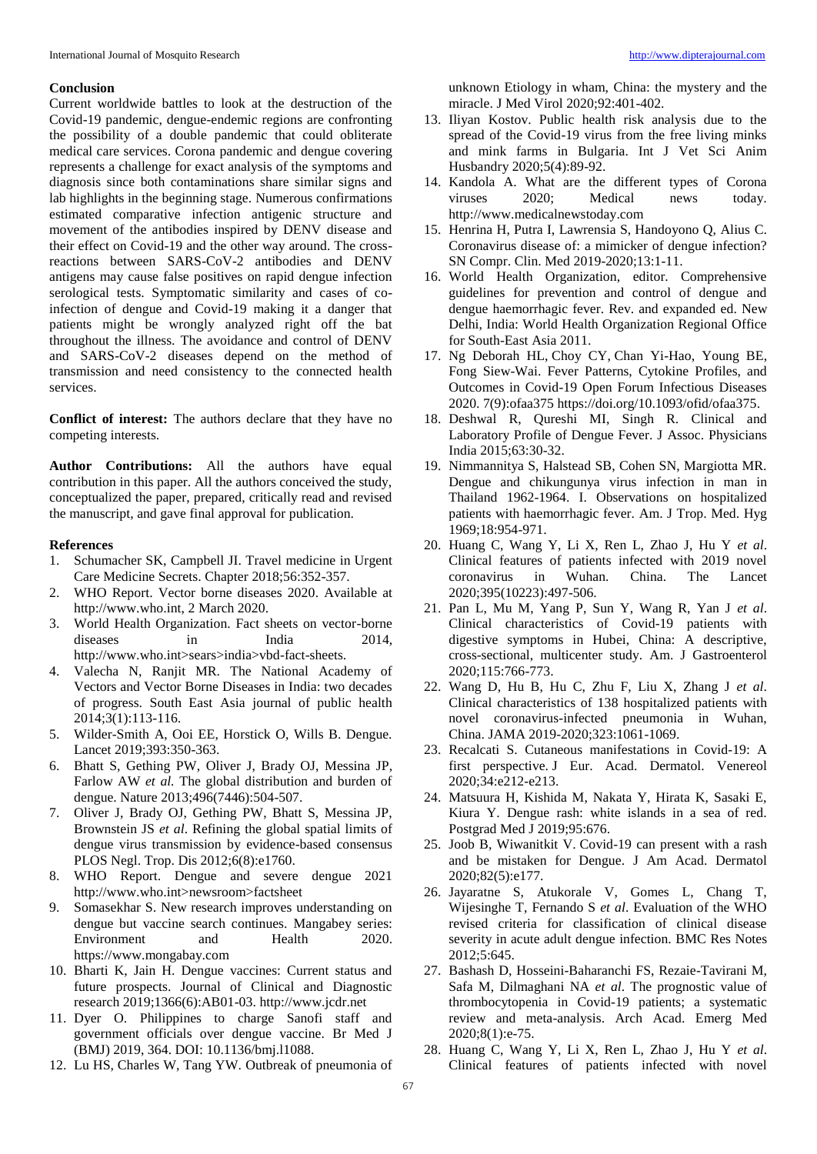#### **Conclusion**

Current worldwide battles to look at the destruction of the Covid-19 pandemic, dengue-endemic regions are confronting the possibility of a double pandemic that could obliterate medical care services. Corona pandemic and dengue covering represents a challenge for exact analysis of the symptoms and diagnosis since both contaminations share similar signs and lab highlights in the beginning stage. Numerous confirmations estimated comparative infection antigenic structure and movement of the antibodies inspired by DENV disease and their effect on Covid-19 and the other way around. The crossreactions between SARS-CoV-2 antibodies and DENV antigens may cause false positives on rapid dengue infection serological tests. Symptomatic similarity and cases of coinfection of dengue and Covid-19 making it a danger that patients might be wrongly analyzed right off the bat throughout the illness. The avoidance and control of DENV and SARS-CoV-2 diseases depend on the method of transmission and need consistency to the connected health services.

**Conflict of interest:** The authors declare that they have no competing interests.

**Author Contributions:** All the authors have equal contribution in this paper. All the authors conceived the study, conceptualized the paper, prepared, critically read and revised the manuscript, and gave final approval for publication.

#### **References**

- 1. Schumacher SK, Campbell JI. Travel medicine in Urgent Care Medicine Secrets. Chapter 2018;56:352-357.
- 2. WHO Report. Vector borne diseases 2020. Available at http://www.who.int, 2 March 2020.
- 3. World Health Organization. Fact sheets on vector-borne diseases in India 2014, http://www.who.int>sears>india>vbd-fact-sheets.
- 4. Valecha N, Ranjit MR. The National Academy of Vectors and Vector Borne Diseases in India: two decades of progress. South East Asia journal of public health 2014;3(1):113-116.
- 5. Wilder-Smith A, Ooi EE, Horstick O, Wills B. Dengue. Lancet 2019;393:350-363.
- 6. Bhatt S, Gething PW, Oliver J, Brady OJ, Messina JP, Farlow AW *et al.* The global distribution and burden of dengue. Nature 2013;496(7446):504-507.
- 7. Oliver J, Brady OJ, Gething PW, Bhatt S, Messina JP, Brownstein JS *et al*. Refining the global spatial limits of dengue virus transmission by evidence-based consensus PLOS Negl. Trop. Dis 2012;6(8):e1760.
- 8. WHO Report. Dengue and severe dengue 2021 http://www.who.int>newsroom>factsheet
- 9. Somasekhar S. New research improves understanding on dengue but vaccine search continues. Mangabey series: Environment and Health 2020. https://www.mongabay.com
- 10. Bharti K, Jain H. Dengue vaccines: Current status and future prospects. Journal of Clinical and Diagnostic research 2019;1366(6):AB01-03. http://www.jcdr.net
- 11. Dyer O. Philippines to charge Sanofi staff and government officials over dengue vaccine. Br Med J (BMJ) 2019, 364. DOI: 10.1136/bmj.l1088.
- 12. Lu HS, Charles W, Tang YW. Outbreak of pneumonia of

unknown Etiology in wham, China: the mystery and the miracle. J Med Virol 2020;92:401-402.

- 13. Iliyan Kostov. Public health risk analysis due to the spread of the Covid-19 virus from the free living minks and mink farms in Bulgaria. Int J Vet Sci Anim Husbandry 2020;5(4):89-92.
- 14. Kandola A. What are the different types of Corona viruses 2020; Medical news today. http://www.medicalnewstoday.com
- 15. Henrina H, Putra I, Lawrensia S, Handoyono Q, Alius C. Coronavirus disease of: a mimicker of dengue infection? SN Compr. Clin. Med 2019-2020;13:1-11.
- 16. World Health Organization, editor. Comprehensive guidelines for prevention and control of dengue and dengue haemorrhagic fever. Rev. and expanded ed. New Delhi, India: World Health Organization Regional Office for South-East Asia 2011.
- 17. Ng Deborah HL, Choy CY, Chan Yi-Hao, Young BE, Fong Siew-Wai. Fever Patterns, Cytokine Profiles, and Outcomes in Covid-19 Open Forum Infectious Diseases 2020. 7(9):ofaa375 https://doi.org/10.1093/ofid/ofaa375.
- 18. Deshwal R, Qureshi MI, Singh R. Clinical and Laboratory Profile of Dengue Fever. J Assoc. Physicians India 2015;63:30-32.
- 19. Nimmannitya S, Halstead SB, Cohen SN, Margiotta MR. Dengue and chikungunya virus infection in man in Thailand 1962-1964. I. Observations on hospitalized patients with haemorrhagic fever. Am. J Trop. Med. Hyg 1969;18:954-971.
- 20. Huang C, Wang Y, Li X, Ren L, Zhao J, Hu Y *et al*. Clinical features of patients infected with 2019 novel coronavirus in Wuhan. China. The Lancet 2020;395(10223):497-506.
- 21. Pan L, Mu M, Yang P, Sun Y, Wang R, Yan J *et al*. Clinical characteristics of Covid-19 patients with digestive symptoms in Hubei, China: A descriptive, cross-sectional, multicenter study. Am. J Gastroenterol 2020;115:766-773.
- 22. Wang D, Hu B, Hu C, Zhu F, Liu X, Zhang J *et al*. Clinical characteristics of 138 hospitalized patients with novel coronavirus-infected pneumonia in Wuhan, China. JAMA 2019-2020;323:1061-1069.
- 23. Recalcati S. Cutaneous manifestations in Covid-19: A first perspective. J Eur. Acad. Dermatol. Venereol 2020;34:e212-e213.
- 24. Matsuura H, Kishida M, Nakata Y, Hirata K, Sasaki E, Kiura Y. Dengue rash: white islands in a sea of red. Postgrad Med J 2019;95:676.
- 25. Joob B, Wiwanitkit V. Covid-19 can present with a rash and be mistaken for Dengue. J Am Acad. Dermatol 2020;82(5):e177.
- 26. Jayaratne S, Atukorale V, Gomes L, Chang T, Wijesinghe T, Fernando S *et al*. Evaluation of the WHO revised criteria for classification of clinical disease severity in acute adult dengue infection. BMC Res Notes 2012;5:645.
- 27. Bashash D, Hosseini-Baharanchi FS, Rezaie-Tavirani M, Safa M, Dilmaghani NA *et al*. The prognostic value of thrombocytopenia in Covid-19 patients; a systematic review and meta-analysis. Arch Acad. Emerg Med 2020;8(1):e-75.
- 28. Huang C, Wang Y, Li X, Ren L, Zhao J, Hu Y *et al*. Clinical features of patients infected with novel